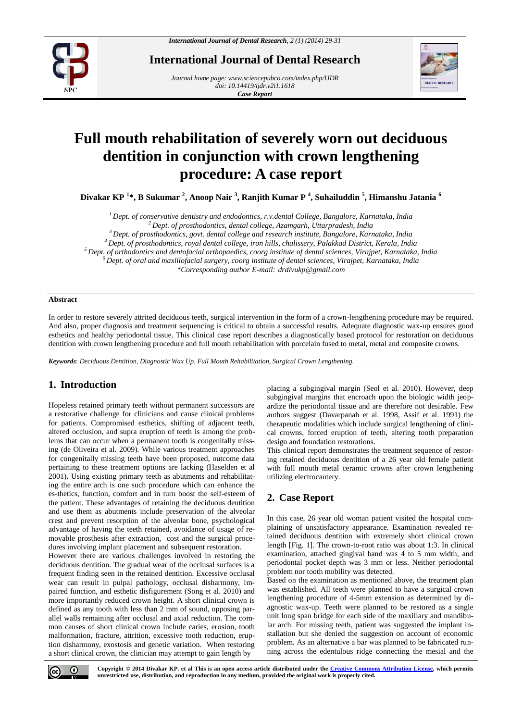

**International Journal of Dental Research**

*Journal home page[: www.sciencepubco.com/index.php/IJDR](http://www.sciencepubco.com/index.php/IJDR) doi: 10.14419/ijdr.v2i1.1618 Case Report*



# **Full mouth rehabilitation of severely worn out deciduous dentition in conjunction with crown lengthening procedure: A case report**

**Divakar KP <sup>1</sup> \*, B Sukumar <sup>2</sup> , Anoop Nair <sup>3</sup> , Ranjith Kumar P <sup>4</sup> , Suhailuddin <sup>5</sup> , Himanshu Jatania <sup>6</sup>**

 *Dept. of conservative dentistry and endodontics, r.v.dental College, Bangalore, Karnataka, India Dept. of prosthodontics, dental college, Azamgarh, Uttarpradesh, India Dept. of prosthodontics, govt. dental college and research institute, Bangalore, Karnataka, India Dept. of prosthodontics, royal dental college, iron hills, chalissery, Palakkad District, Kerala, India Dept. of orthodontics and dentofacial orthopaedics, coorg institute of dental sciences, Virajpet, Karnataka, India Dept. of oral and maxillofacial surgery, coorg institute of dental sciences, Virajpet, Karnataka, India*

*\*Corresponding author E-mail: drdivukp@gmail.com*

#### **Abstract**

In order to restore severely attrited deciduous teeth, surgical intervention in the form of a crown-lengthening procedure may be required. And also, proper diagnosis and treatment sequencing is critical to obtain a successful results. Adequate diagnostic wax-up ensures good esthetics and healthy periodontal tissue. This clinical case report describes a diagnostically based protocol for restoration on deciduous dentition with crown lengthening procedure and full mouth rehabilitation with porcelain fused to metal, metal and composite crowns.

*Keywords*: *Deciduous Dentition, Diagnostic Wax Up, Full Mouth Rehabilitation, Surgical Crown Lengthening.*

# **1. Introduction**

Hopeless retained primary teeth without permanent successors are a restorative challenge for clinicians and cause clinical problems for patients. Compromised esthetics, shifting of adjacent teeth, altered occlusion, and supra eruption of teeth is among the problems that can occur when a permanent tooth is congenitally missing (de Oliveira et al. 2009). While various treatment approaches for congenitally missing teeth have been proposed, outcome data pertaining to these treatment options are lacking (Haselden et al 2001). Using existing primary teeth as abutments and rehabilitating the entire arch is one such procedure which can enhance the es-thetics, function, comfort and in turn boost the self-esteem of the patient. These advantages of retaining the deciduous dentition and use them as abutments include preservation of the alveolar crest and prevent resorption of the alveolar bone, psychological advantage of having the teeth retained, avoidance of usage of removable prosthesis after extraction, cost and the surgical procedures involving implant placement and subsequent restoration.

However there are various challenges involved in restoring the deciduous dentition. The gradual wear of the occlusal surfaces is a frequent finding seen in the retained dentition. Excessive occlusal wear can result in pulpal pathology, occlusal disharmony, impaired function, and esthetic disfigurement (Song et al. 2010) and more importantly reduced crown height. A short clinical crown is defined as any tooth with less than 2 mm of sound, opposing parallel walls remaining after occlusal and axial reduction. The common causes of short clinical crown include caries, erosion, tooth malformation, fracture, attrition, excessive tooth reduction, eruption disharmony, exostosis and genetic variation. When restoring a short clinical crown, the clinician may attempt to gain length by

placing a subgingival margin (Seol et al. 2010). However, deep subgingival margins that encroach upon the biologic width jeopardize the periodontal tissue and are therefore not desirable. Few authors suggest (Davarpanah et al. 1998, Assif et al. 1991) the therapeutic modalities which include surgical lengthening of clinical crowns, forced eruption of teeth, altering tooth preparation design and foundation restorations.

This clinical report demonstrates the treatment sequence of restoring retained deciduous dentition of a 26 year old female patient with full mouth metal ceramic crowns after crown lengthening utilizing electrocautery.

# **2. Case Report**

In this case, 26 year old woman patient visited the hospital complaining of unsatisfactory appearance. Examination revealed retained deciduous dentition with extremely short clinical crown length [Fig. 1]. The crown-to-root ratio was about 1:3. In clinical examination, attached gingival band was 4 to 5 mm width, and periodontal pocket depth was 3 mm or less. Neither periodontal problem nor tooth mobility was detected.

Based on the examination as mentioned above, the treatment plan was established. All teeth were planned to have a surgical crown lengthening procedure of 4-5mm extension as determined by diagnostic wax-up. Teeth were planned to be restored as a single unit long span bridge for each side of the maxillary and mandibular arch. For missing teeth, patient was suggested the implant installation but she denied the suggestion on account of economic problem. As an alternative a bar was planned to be fabricated running across the edentulous ridge connecting the mesial and the

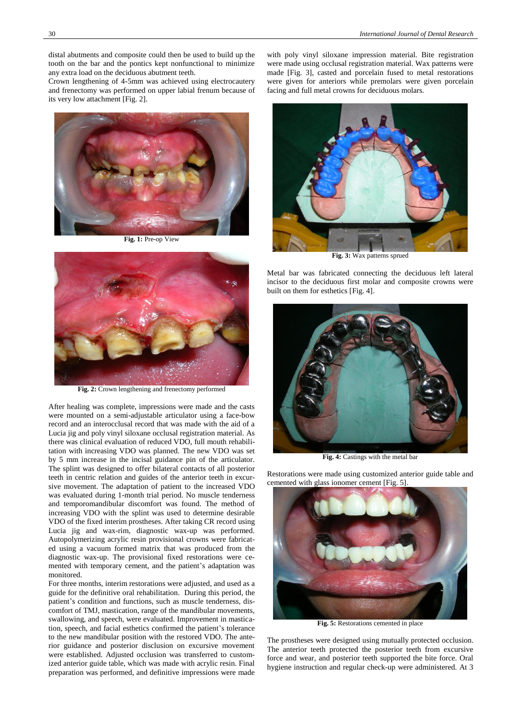distal abutments and composite could then be used to build up the tooth on the bar and the pontics kept nonfunctional to minimize any extra load on the deciduous abutment teeth.

Crown lengthening of 4-5mm was achieved using electrocautery and frenectomy was performed on upper labial frenum because of its very low attachment [Fig. 2].



**Fig. 1:** Pre-op View



**Fig. 2:** Crown lengthening and frenectomy performed

After healing was complete, impressions were made and the casts were mounted on a semi-adjustable articulator using a face-bow record and an interocclusal record that was made with the aid of a Lucia jig and poly vinyl siloxane occlusal registration material. As there was clinical evaluation of reduced VDO, full mouth rehabilitation with increasing VDO was planned. The new VDO was set by 5 mm increase in the incisal guidance pin of the articulator. The splint was designed to offer bilateral contacts of all posterior teeth in centric relation and guides of the anterior teeth in excursive movement. The adaptation of patient to the increased VDO was evaluated during 1-month trial period. No muscle tenderness and temporomandibular discomfort was found. The method of increasing VDO with the splint was used to determine desirable VDO of the fixed interim prostheses. After taking CR record using Lucia jig and wax-rim, diagnostic wax-up was performed. Autopolymerizing acrylic resin provisional crowns were fabricated using a vacuum formed matrix that was produced from the diagnostic wax-up. The provisional fixed restorations were cemented with temporary cement, and the patient's adaptation was monitored.

For three months, interim restorations were adjusted, and used as a guide for the definitive oral rehabilitation. During this period, the patient's condition and functions, such as muscle tenderness, discomfort of TMJ, mastication, range of the mandibular movements, swallowing, and speech, were evaluated. Improvement in mastication, speech, and facial esthetics confirmed the patient's tolerance to the new mandibular position with the restored VDO. The anterior guidance and posterior disclusion on excursive movement were established. Adjusted occlusion was transferred to customized anterior guide table, which was made with acrylic resin. Final preparation was performed, and definitive impressions were made

with poly vinyl siloxane impression material. Bite registration were made using occlusal registration material. Wax patterns were made [Fig. 3], casted and porcelain fused to metal restorations were given for anteriors while premolars were given porcelain facing and full metal crowns for deciduous molars.



**Fig. 3:** Wax patterns sprued

Metal bar was fabricated connecting the deciduous left lateral incisor to the deciduous first molar and composite crowns were built on them for esthetics [Fig. 4].



**Fig. 4:** Castings with the metal bar

Restorations were made using customized anterior guide table and cemented with glass ionomer cement [Fig. 5].



**Fig. 5:** Restorations cemented in place

The prostheses were designed using mutually protected occlusion. The anterior teeth protected the posterior teeth from excursive force and wear, and posterior teeth supported the bite force. Oral hygiene instruction and regular check-up were administered. At 3